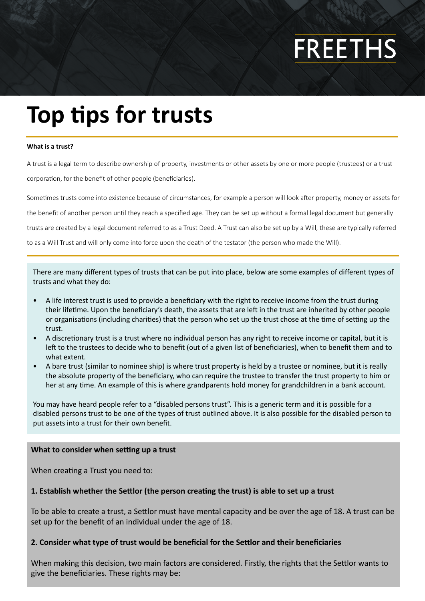# **FREETHS**

# **Top tips for trusts**

#### **What is a trust?**

A trust is a legal term to describe ownership of property, investments or other assets by one or more people (trustees) or a trust corporation, for the benefit of other people (beneficiaries).

Sometimes trusts come into existence because of circumstances, for example a person will look after property, money or assets for the benefit of another person until they reach a specified age. They can be set up without a formal legal document but generally trusts are created by a legal document referred to as a Trust Deed. A Trust can also be set up by a Will, these are typically referred to as a Will Trust and will only come into force upon the death of the testator (the person who made the Will).

There are many different types of trusts that can be put into place, below are some examples of different types of trusts and what they do:

- A life interest trust is used to provide a beneficiary with the right to receive income from the trust during their lifetime. Upon the beneficiary's death, the assets that are left in the trust are inherited by other people or organisations (including charities) that the person who set up the trust chose at the time of setting up the trust.
- A discretionary trust is a trust where no individual person has any right to receive income or capital, but it is left to the trustees to decide who to benefit (out of a given list of beneficiaries), when to benefit them and to what extent.
- A bare trust (similar to nominee ship) is where trust property is held by a trustee or nominee, but it is really the absolute property of the beneficiary, who can require the trustee to transfer the trust property to him or her at any time. An example of this is where grandparents hold money for grandchildren in a bank account.

You may have heard people refer to a "disabled persons trust". This is a generic term and it is possible for a disabled persons trust to be one of the types of trust outlined above. It is also possible for the disabled person to put assets into a trust for their own benefit.

#### **What to consider when setting up a trust**

When creating a Trust you need to:

# **1. Establish whether the Settlor (the person creating the trust) is able to set up a trust**

To be able to create a trust, a Settlor must have mental capacity and be over the age of 18. A trust can be set up for the benefit of an individual under the age of 18.

# **2. Consider what type of trust would be beneficial for the Settlor and their beneficiaries**

When making this decision, two main factors are considered. Firstly, the rights that the Settlor wants to give the beneficiaries. These rights may be: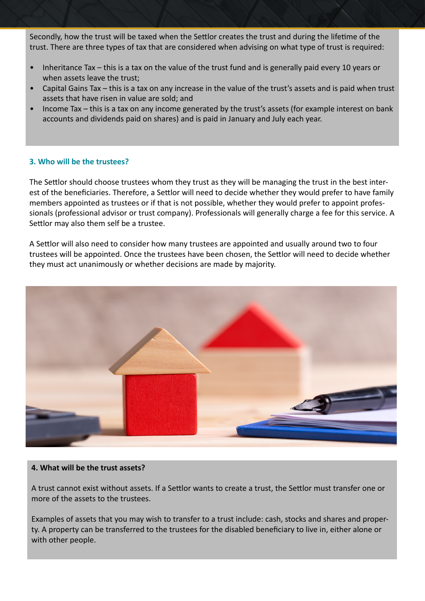Secondly, how the trust will be taxed when the Settlor creates the trust and during the lifetime of the trust. There are three types of tax that are considered when advising on what type of trust is required:

- Inheritance Tax this is a tax on the value of the trust fund and is generally paid every 10 years or when assets leave the trust;
- Capital Gains Tax this is a tax on any increase in the value of the trust's assets and is paid when trust assets that have risen in value are sold; and
- Income Tax this is a tax on any income generated by the trust's assets (for example interest on bank accounts and dividends paid on shares) and is paid in January and July each year.

# **3. Who will be the trustees?**

The Settlor should choose trustees whom they trust as they will be managing the trust in the best interest of the beneficiaries. Therefore, a Settlor will need to decide whether they would prefer to have family members appointed as trustees or if that is not possible, whether they would prefer to appoint professionals (professional advisor or trust company). Professionals will generally charge a fee for this service. A Settlor may also them self be a trustee.

A Settlor will also need to consider how many trustees are appointed and usually around two to four trustees will be appointed. Once the trustees have been chosen, the Settlor will need to decide whether they must act unanimously or whether decisions are made by majority.



#### **4. What will be the trust assets?**

A trust cannot exist without assets. If a Settlor wants to create a trust, the Settlor must transfer one or more of the assets to the trustees.

Examples of assets that you may wish to transfer to a trust include: cash, stocks and shares and property. A property can be transferred to the trustees for the disabled beneficiary to live in, either alone or with other people.